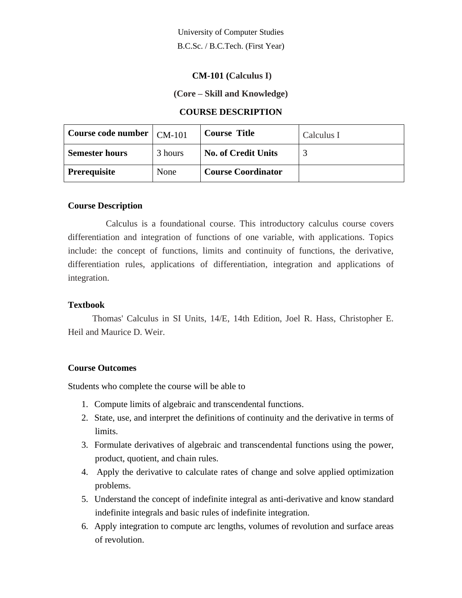University of Computer Studies B.C.Sc. / B.C.Tech. (First Year)

#### **CM-101 (Calculus I)**

#### **(Core – Skill and Knowledge)**

## **COURSE DESCRIPTION**

| Course code number $\mid$ CM-101 |         | <b>Course Title</b>        | Calculus I |
|----------------------------------|---------|----------------------------|------------|
| <b>Semester hours</b>            | 3 hours | <b>No. of Credit Units</b> |            |
| <b>Prerequisite</b>              | None    | <b>Course Coordinator</b>  |            |

#### **Course Description**

Calculus is a foundational course. This introductory calculus course covers differentiation and integration of functions of one variable, with applications. Topics include: the concept of functions, limits and continuity of functions, the derivative, differentiation rules, applications of differentiation, integration and applications of integration.

#### **Textbook**

Thomas' Calculus in SI Units, 14/E, 14th Edition, Joel R. Hass, Christopher E. Heil and Maurice D. Weir.

#### **Course Outcomes**

Students who complete the course will be able to

- 1. Compute limits of algebraic and transcendental functions.
- 2. State, use, and interpret the definitions of continuity and the derivative in terms of limits.
- 3. Formulate derivatives of algebraic and transcendental functions using the power, product, quotient, and chain rules.
- 4. Apply the derivative to calculate rates of change and solve applied optimization problems.
- 5. Understand the concept of indefinite integral as anti-derivative and know standard indefinite integrals and basic rules of indefinite integration.
- 6. Apply integration to compute arc lengths, volumes of revolution and surface areas of revolution.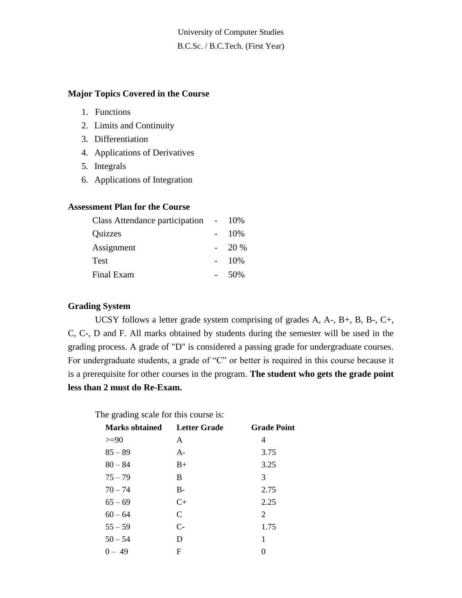University of Computer Studies B.C.Sc. / B.C.Tech. (First Year)

#### **Major Topics Covered in the Course**

- 1. Functions
- 2. Limits and Continuity
- 3. Differentiation
- 4. Applications of Derivatives
- 5. Integrals
- 6. Applications of Integration

## **Assessment Plan for the Course**

| Class Attendance participation |  | 10%  |
|--------------------------------|--|------|
| Quizzes                        |  | 10%  |
| Assignment                     |  | 20 % |
| Test                           |  | 10%  |
| Final Exam                     |  | 50%  |

### **Grading System**

UCSY follows a letter grade system comprising of grades A, A-, B+, B, B-, C+, C, C-, D and F. All marks obtained by students during the semester will be used in the grading process. A grade of "D" is considered a passing grade for undergraduate courses. For undergraduate students, a grade of "C" or better is required in this course because it is a prerequisite for other courses in the program. **The student who gets the grade point less than 2 must do Re-Exam.**

The grading scale for this course is:

| <b>Marks obtained</b> | <b>Letter Grade</b> | <b>Grade Point</b> |
|-----------------------|---------------------|--------------------|
| $>=$ 90               | A                   | 4                  |
| $85 - 89$             | $A -$               | 3.75               |
| $80 - 84$             | $B+$                | 3.25               |
| $75 - 79$             | B                   | 3                  |
| $70 - 74$             | $B-$                | 2.75               |
| $65 - 69$             | $C+$                | 2.25               |
| $60 - 64$             | C                   | 2                  |
| $55 - 59$             | $C-$                | 1.75               |
| $50 - 54$             | D                   | 1                  |
| $0 - 49$              | F                   | $\Omega$           |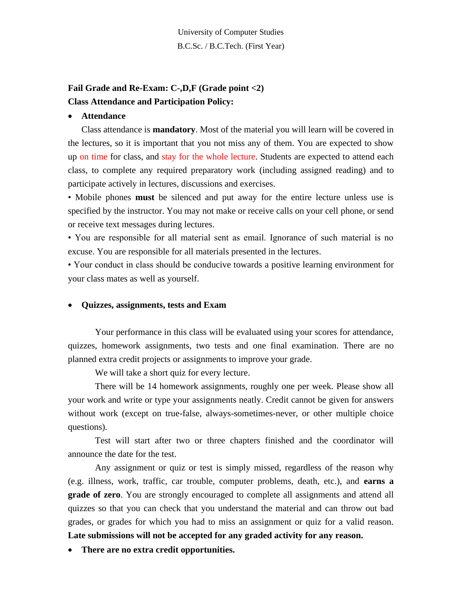# **Fail Grade and Re-Exam: C-,D,F (Grade point <2) Class Attendance and Participation Policy:**

### • **Attendance**

Class attendance is **mandatory**. Most of the material you will learn will be covered in the lectures, so it is important that you not miss any of them. You are expected to show up on time for class, and stay for the whole lecture. Students are expected to attend each class, to complete any required preparatory work (including assigned reading) and to participate actively in lectures, discussions and exercises.

• Mobile phones **must** be silenced and put away for the entire lecture unless use is specified by the instructor. You may not make or receive calls on your cell phone, or send or receive text messages during lectures.

• You are responsible for all material sent as email. Ignorance of such material is no excuse. You are responsible for all materials presented in the lectures.

• Your conduct in class should be conducive towards a positive learning environment for your class mates as well as yourself.

## • **Quizzes, assignments, tests and Exam**

Your performance in this class will be evaluated using your scores for attendance, quizzes, homework assignments, two tests and one final examination. There are no planned extra credit projects or assignments to improve your grade.

We will take a short quiz for every lecture.

There will be 14 homework assignments, roughly one per week. Please show all your work and write or type your assignments neatly. Credit cannot be given for answers without work (except on true-false, always-sometimes-never, or other multiple choice questions).

Test will start after two or three chapters finished and the coordinator will announce the date for the test.

Any assignment or quiz or test is simply missed, regardless of the reason why (e.g. illness, work, traffic, car trouble, computer problems, death, etc.), and **earns a grade of zero**. You are strongly encouraged to complete all assignments and attend all quizzes so that you can check that you understand the material and can throw out bad grades, or grades for which you had to miss an assignment or quiz for a valid reason. **Late submissions will not be accepted for any graded activity for any reason.**

• **There are no extra credit opportunities.**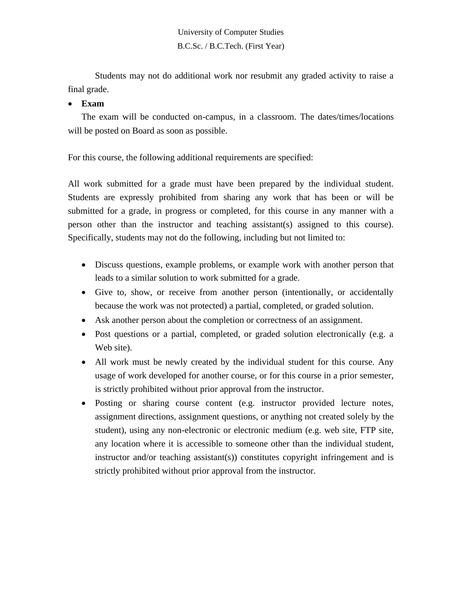University of Computer Studies B.C.Sc. / B.C.Tech. (First Year)

Students may not do additional work nor resubmit any graded activity to raise a final grade.

## • **Exam**

The exam will be conducted on-campus, in a classroom. The dates/times/locations will be posted on Board as soon as possible.

For this course, the following additional requirements are specified:

All work submitted for a grade must have been prepared by the individual student. Students are expressly prohibited from sharing any work that has been or will be submitted for a grade, in progress or completed, for this course in any manner with a person other than the instructor and teaching assistant(s) assigned to this course). Specifically, students may not do the following, including but not limited to:

- Discuss questions, example problems, or example work with another person that leads to a similar solution to work submitted for a grade.
- Give to, show, or receive from another person (intentionally, or accidentally because the work was not protected) a partial, completed, or graded solution.
- Ask another person about the completion or correctness of an assignment.
- Post questions or a partial, completed, or graded solution electronically (e.g. a Web site).
- All work must be newly created by the individual student for this course. Any usage of work developed for another course, or for this course in a prior semester, is strictly prohibited without prior approval from the instructor.
- Posting or sharing course content (e.g. instructor provided lecture notes, assignment directions, assignment questions, or anything not created solely by the student), using any non-electronic or electronic medium (e.g. web site, FTP site, any location where it is accessible to someone other than the individual student, instructor and/or teaching assistant(s)) constitutes copyright infringement and is strictly prohibited without prior approval from the instructor.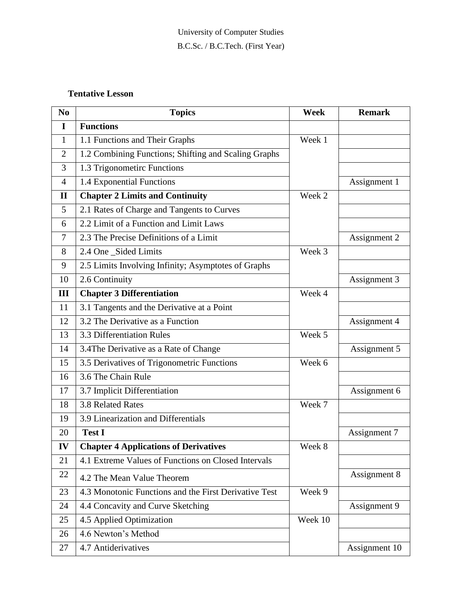## **Tentative Lesson**

| N <sub>0</sub> | <b>Topics</b>                                         | Week    | <b>Remark</b> |
|----------------|-------------------------------------------------------|---------|---------------|
| I              | <b>Functions</b>                                      |         |               |
| $\mathbf{1}$   | 1.1 Functions and Their Graphs                        | Week 1  |               |
| $\overline{2}$ | 1.2 Combining Functions; Shifting and Scaling Graphs  |         |               |
| 3              | 1.3 Trigonometirc Functions                           |         |               |
| $\overline{4}$ | 1.4 Exponential Functions                             |         | Assignment 1  |
| $\mathbf{I}$   | <b>Chapter 2 Limits and Continuity</b>                | Week 2  |               |
| 5              | 2.1 Rates of Charge and Tangents to Curves            |         |               |
| 6              | 2.2 Limit of a Function and Limit Laws                |         |               |
| 7              | 2.3 The Precise Definitions of a Limit                |         | Assignment 2  |
| 8              | 2.4 One_Sided Limits                                  | Week 3  |               |
| 9              | 2.5 Limits Involving Infinity; Asymptotes of Graphs   |         |               |
| 10             | 2.6 Continuity                                        |         | Assignment 3  |
| III            | <b>Chapter 3 Differentiation</b>                      | Week 4  |               |
| 11             | 3.1 Tangents and the Derivative at a Point            |         |               |
| 12             | 3.2 The Derivative as a Function                      |         | Assignment 4  |
| 13             | 3.3 Differentiation Rules                             | Week 5  |               |
| 14             | 3.4The Derivative as a Rate of Change                 |         | Assignment 5  |
| 15             | 3.5 Derivatives of Trigonometric Functions            | Week 6  |               |
| 16             | 3.6 The Chain Rule                                    |         |               |
| 17             | 3.7 Implicit Differentiation                          |         | Assignment 6  |
| 18             | 3.8 Related Rates                                     | Week 7  |               |
| 19             | 3.9 Linearization and Differentials                   |         |               |
| 20             | <b>Test I</b>                                         |         | Assignment 7  |
| IV             | <b>Chapter 4 Applications of Derivatives</b>          | Week 8  |               |
| 21             | 4.1 Extreme Values of Functions on Closed Intervals   |         |               |
| 22             | 4.2 The Mean Value Theorem                            |         | Assignment 8  |
| 23             | 4.3 Monotonic Functions and the First Derivative Test | Week 9  |               |
| 24             | 4.4 Concavity and Curve Sketching                     |         | Assignment 9  |
| 25             | 4.5 Applied Optimization                              | Week 10 |               |
| 26             | 4.6 Newton's Method                                   |         |               |
| 27             | 4.7 Antiderivatives                                   |         | Assignment 10 |